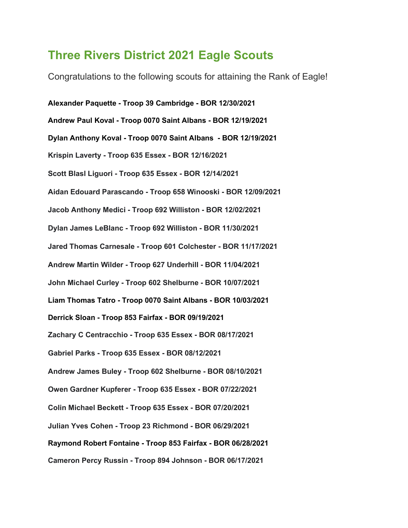## Three Rivers District 2021 Eagle Scouts

Congratulations to the following scouts for attaining the Rank of Eagle!

Alexander Paquette - Troop 39 Cambridge - BOR 12/30/2021 Andrew Paul Koval - Troop 0070 Saint Albans - BOR 12/19/2021 Dylan Anthony Koval - Troop 0070 Saint Albans - BOR 12/19/2021 Krispin Laverty - Troop 635 Essex - BOR 12/16/2021 Scott Blasl Liguori - Troop 635 Essex - BOR 12/14/2021 Aidan Edouard Parascando - Troop 658 Winooski - BOR 12/09/2021 Jacob Anthony Medici - Troop 692 Williston - BOR 12/02/2021 Dylan James LeBlanc - Troop 692 Williston - BOR 11/30/2021 Jared Thomas Carnesale - Troop 601 Colchester - BOR 11/17/2021 Andrew Martin Wilder - Troop 627 Underhill - BOR 11/04/2021 John Michael Curley - Troop 602 Shelburne - BOR 10/07/2021 Liam Thomas Tatro - Troop 0070 Saint Albans - BOR 10/03/2021 Derrick Sloan - Troop 853 Fairfax - BOR 09/19/2021 Zachary C Centracchio - Troop 635 Essex - BOR 08/17/2021 Gabriel Parks - Troop 635 Essex - BOR 08/12/2021 Andrew James Buley - Troop 602 Shelburne - BOR 08/10/2021 Owen Gardner Kupferer - Troop 635 Essex - BOR 07/22/2021 Colin Michael Beckett - Troop 635 Essex - BOR 07/20/2021 Julian Yves Cohen - Troop 23 Richmond - BOR 06/29/2021 Raymond Robert Fontaine - Troop 853 Fairfax - BOR 06/28/2021 Cameron Percy Russin - Troop 894 Johnson - BOR 06/17/2021